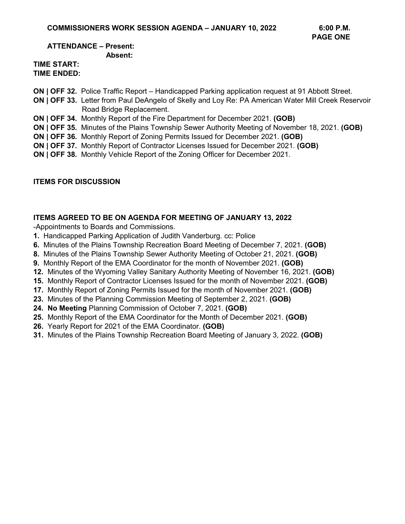#### **ATTENDANCE – Present: Absent:**

#### **TIME START: TIME ENDED:**

- **ON | OFF 32.** Police Traffic Report Handicapped Parking application request at 91 Abbott Street.
- **ON | OFF 33.** Letter from Paul DeAngelo of Skelly and Loy Re: PA American Water Mill Creek Reservoir Road Bridge Replacement.
- **ON | OFF 34.** Monthly Report of the Fire Department for December 2021. **(GOB)**
- **ON | OFF 35.** Minutes of the Plains Township Sewer Authority Meeting of November 18, 2021. **(GOB)**
- **ON | OFF 36.** Monthly Report of Zoning Permits Issued for December 2021. **(GOB)**
- **ON | OFF 37.** Monthly Report of Contractor Licenses Issued for December 2021. **(GOB)**
- **ON | OFF 38.** Monthly Vehicle Report of the Zoning Officer for December 2021.

#### **ITEMS FOR DISCUSSION**

#### **ITEMS AGREED TO BE ON AGENDA FOR MEETING OF JANUARY 13, 2022**

-Appointments to Boards and Commissions.

- **1.** Handicapped Parking Application of Judith Vanderburg. cc: Police
- **6.** Minutes of the Plains Township Recreation Board Meeting of December 7, 2021. **(GOB)**
- **8.** Minutes of the Plains Township Sewer Authority Meeting of October 21, 2021. **(GOB)**
- **9.** Monthly Report of the EMA Coordinator for the month of November 2021. **(GOB)**
- **12.** Minutes of the Wyoming Valley Sanitary Authority Meeting of November 16, 2021. **(GOB)**
- **15.** Monthly Report of Contractor Licenses Issued for the month of November 2021. **(GOB)**
- **17.** Monthly Report of Zoning Permits Issued for the month of November 2021. **(GOB)**
- **23.** Minutes of the Planning Commission Meeting of September 2, 2021. **(GOB)**
- **24. No Meeting** Planning Commission of October 7, 2021. **(GOB)**
- **25.** Monthly Report of the EMA Coordinator for the Month of December 2021. **(GOB)**
- **26.** Yearly Report for 2021 of the EMA Coordinator. **(GOB)**
- **31.** Minutes of the Plains Township Recreation Board Meeting of January 3, 2022. **(GOB)**